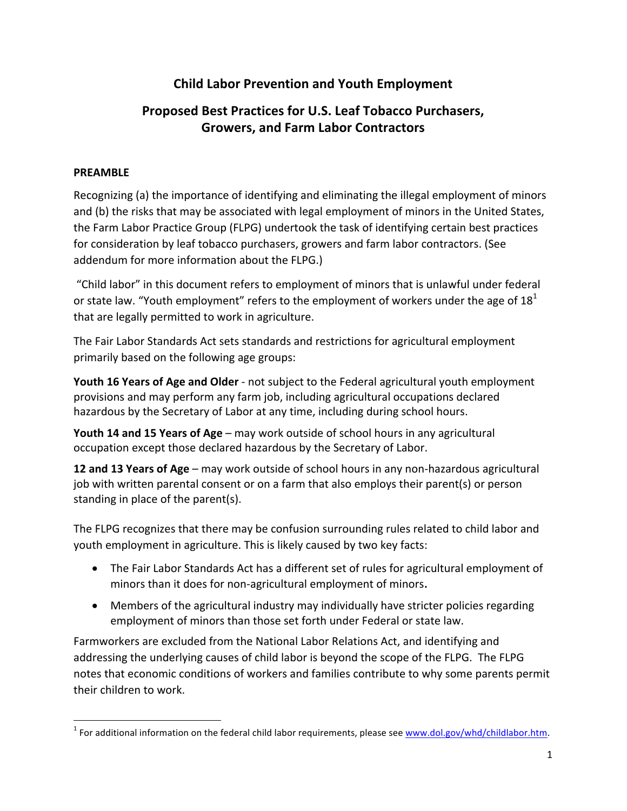# **Child Labor Prevention and Youth Employment**

# **Proposed Best Practices for U.S. Leaf Tobacco Purchasers, Growers, and Farm Labor Contractors**

## **PREAMBLE**

<u> 1989 - Johann Barn, mars ann an t-Amhain Aonaich ann an t-Aonaich ann an t-Aonaich ann an t-Aonaich ann an t-</u>

Recognizing (a) the importance of identifying and eliminating the illegal employment of minors and (b) the risks that may be associated with legal employment of minors in the United States, the Farm Labor Practice Group (FLPG) undertook the task of identifying certain best practices for consideration by leaf tobacco purchasers, growers and farm labor contractors. (See addendum for more information about the FLPG.)

"Child labor" in this document refers to employment of minors that is unlawful under federal or state law. "Youth employment" refers to the employment of workers under the age of  $18<sup>1</sup>$ that are legally permitted to work in agriculture.

The Fair Labor Standards Act sets standards and restrictions for agricultural employment primarily based on the following age groups:

**Youth 16 Years of Age and Older** - not subject to the Federal agricultural youth employment provisions and may perform any farm job, including agricultural occupations declared hazardous by the Secretary of Labor at any time, including during school hours.

**Youth 14 and 15 Years of Age** – may work outside of school hours in any agricultural occupation except those declared hazardous by the Secretary of Labor.

**12 and 13 Years of Age** – may work outside of school hours in any non-hazardous agricultural job with written parental consent or on a farm that also employs their parent(s) or person standing in place of the parent(s).

The FLPG recognizes that there may be confusion surrounding rules related to child labor and youth employment in agriculture. This is likely caused by two key facts:

- The Fair Labor Standards Act has a different set of rules for agricultural employment of minors than it does for non-agricultural employment of minors.
- Members of the agricultural industry may individually have stricter policies regarding employment of minors than those set forth under Federal or state law.

Farmworkers are excluded from the National Labor Relations Act, and identifying and addressing the underlying causes of child labor is beyond the scope of the FLPG. The FLPG notes that economic conditions of workers and families contribute to why some parents permit their children to work.

 $1$  For additional information on the federal child labor requirements, please see www.dol.gov/whd/childlabor.htm.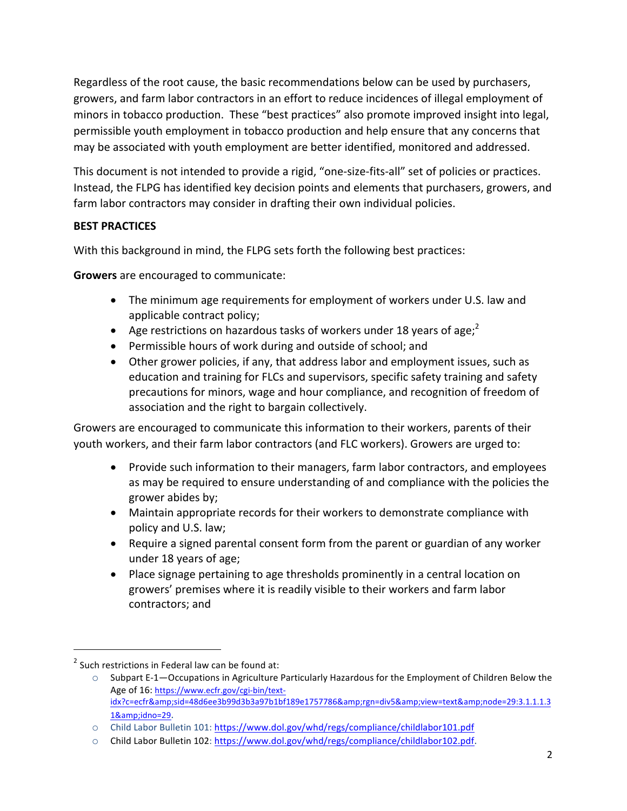Regardless of the root cause, the basic recommendations below can be used by purchasers, growers, and farm labor contractors in an effort to reduce incidences of illegal employment of minors in tobacco production. These "best practices" also promote improved insight into legal, permissible youth employment in tobacco production and help ensure that any concerns that may be associated with youth employment are better identified, monitored and addressed.

This document is not intended to provide a rigid, "one-size-fits-all" set of policies or practices. Instead, the FLPG has identified key decision points and elements that purchasers, growers, and farm labor contractors may consider in drafting their own individual policies.

# **BEST PRACTICES**

With this background in mind, the FLPG sets forth the following best practices:

**Growers** are encouraged to communicate:

- The minimum age requirements for employment of workers under U.S. law and applicable contract policy;
- Age restrictions on hazardous tasks of workers under 18 years of age;<sup>2</sup>
- Permissible hours of work during and outside of school; and
- Other grower policies, if any, that address labor and employment issues, such as education and training for FLCs and supervisors, specific safety training and safety precautions for minors, wage and hour compliance, and recognition of freedom of association and the right to bargain collectively.

Growers are encouraged to communicate this information to their workers, parents of their youth workers, and their farm labor contractors (and FLC workers). Growers are urged to:

- Provide such information to their managers, farm labor contractors, and employees as may be required to ensure understanding of and compliance with the policies the grower abides by;
- Maintain appropriate records for their workers to demonstrate compliance with policy and U.S. law;
- Require a signed parental consent form from the parent or guardian of any worker under 18 years of age;
- Place signage pertaining to age thresholds prominently in a central location on growers' premises where it is readily visible to their workers and farm labor contractors; and

<u> 1989 - Johann Barn, mars ann an t-Amhain Aonaich ann an t-Aonaich ann an t-Aonaich ann an t-Aonaich ann an t-</u>

 $2$  Such restrictions in Federal law can be found at:

 $\circ$  Subpart E-1—Occupations in Agriculture Particularly Hazardous for the Employment of Children Below the Age of 16: https://www.ecfr.gov/cgi-bin/textidx?c=ecfr&sid=48d6ee3b99d3b3a97b1bf189e1757786&rgn=div5&view=text&node=29:3.1.1.1.3 1&idno=29.

o Child Labor Bulletin 101: https://www.dol.gov/whd/regs/compliance/childlabor101.pdf

o Child Labor Bulletin 102: https://www.dol.gov/whd/regs/compliance/childlabor102.pdf.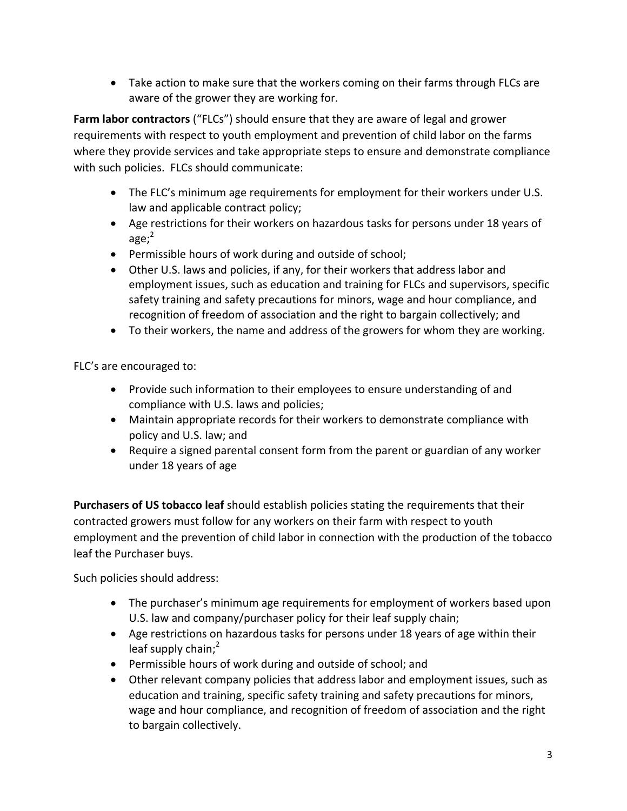• Take action to make sure that the workers coming on their farms through FLCs are aware of the grower they are working for.

**Farm labor contractors** ("FLCs") should ensure that they are aware of legal and grower requirements with respect to youth employment and prevention of child labor on the farms where they provide services and take appropriate steps to ensure and demonstrate compliance with such policies. FLCs should communicate:

- The FLC's minimum age requirements for employment for their workers under U.S. law and applicable contract policy;
- Age restrictions for their workers on hazardous tasks for persons under 18 years of age; $2$
- Permissible hours of work during and outside of school;
- Other U.S. laws and policies, if any, for their workers that address labor and employment issues, such as education and training for FLCs and supervisors, specific safety training and safety precautions for minors, wage and hour compliance, and recognition of freedom of association and the right to bargain collectively; and
- To their workers, the name and address of the growers for whom they are working.

FLC's are encouraged to:

- Provide such information to their employees to ensure understanding of and compliance with U.S. laws and policies;
- Maintain appropriate records for their workers to demonstrate compliance with policy and U.S. law; and
- Require a signed parental consent form from the parent or guardian of any worker under 18 years of age

**Purchasers of US tobacco leaf** should establish policies stating the requirements that their contracted growers must follow for any workers on their farm with respect to youth employment and the prevention of child labor in connection with the production of the tobacco leaf the Purchaser buys.

Such policies should address:

- The purchaser's minimum age requirements for employment of workers based upon U.S. law and company/purchaser policy for their leaf supply chain;
- Age restrictions on hazardous tasks for persons under 18 years of age within their leaf supply chain;<sup>2</sup>
- Permissible hours of work during and outside of school; and
- Other relevant company policies that address labor and employment issues, such as education and training, specific safety training and safety precautions for minors, wage and hour compliance, and recognition of freedom of association and the right to bargain collectively.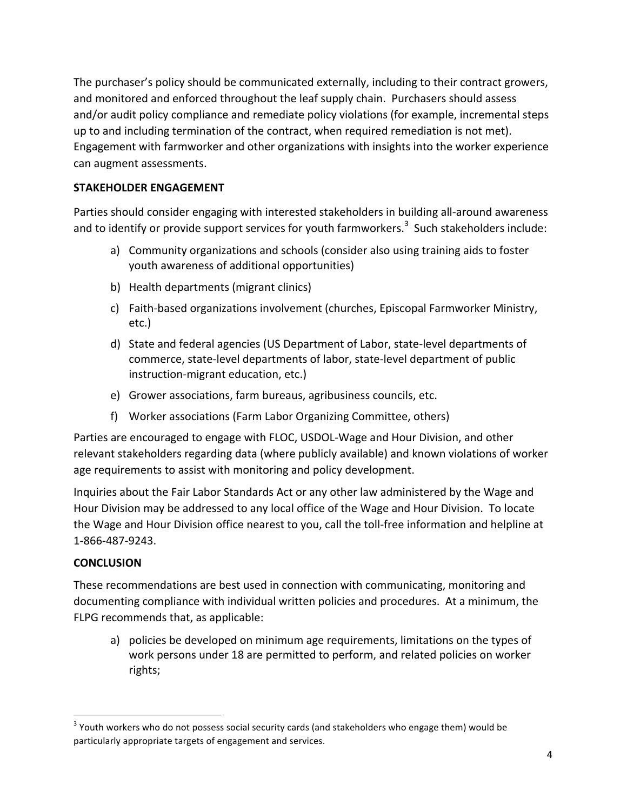The purchaser's policy should be communicated externally, including to their contract growers, and monitored and enforced throughout the leaf supply chain. Purchasers should assess and/or audit policy compliance and remediate policy violations (for example, incremental steps up to and including termination of the contract, when required remediation is not met). Engagement with farmworker and other organizations with insights into the worker experience can augment assessments.

## **STAKEHOLDER ENGAGEMENT**

Parties should consider engaging with interested stakeholders in building all-around awareness and to identify or provide support services for youth farmworkers.<sup>3</sup> Such stakeholders include:

- a) Community organizations and schools (consider also using training aids to foster youth awareness of additional opportunities)
- b) Health departments (migrant clinics)
- c) Faith-based organizations involvement (churches, Episcopal Farmworker Ministry, etc.)
- d) State and federal agencies (US Department of Labor, state-level departments of commerce, state-level departments of labor, state-level department of public instruction-migrant education, etc.)
- e) Grower associations, farm bureaus, agribusiness councils, etc.
- f) Worker associations (Farm Labor Organizing Committee, others)

Parties are encouraged to engage with FLOC, USDOL-Wage and Hour Division, and other relevant stakeholders regarding data (where publicly available) and known violations of worker age requirements to assist with monitoring and policy development.

Inquiries about the Fair Labor Standards Act or any other law administered by the Wage and Hour Division may be addressed to any local office of the Wage and Hour Division. To locate the Wage and Hour Division office nearest to you, call the toll-free information and helpline at 1-866-487-9243.

### **CONCLUSION**

<u> 1989 - Johann Barn, mars ann an t-Amhain Aonaich ann an t-Aonaich ann an t-Aonaich ann an t-Aonaich ann an t-</u>

These recommendations are best used in connection with communicating, monitoring and documenting compliance with individual written policies and procedures. At a minimum, the FLPG recommends that, as applicable:

a) policies be developed on minimum age requirements, limitations on the types of work persons under 18 are permitted to perform, and related policies on worker rights;

 $3$  Youth workers who do not possess social security cards (and stakeholders who engage them) would be particularly appropriate targets of engagement and services.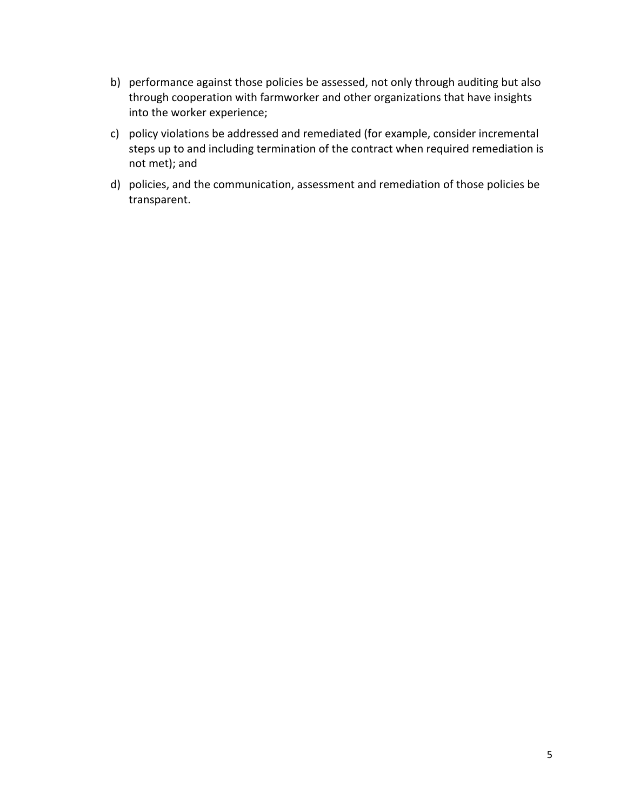- b) performance against those policies be assessed, not only through auditing but also through cooperation with farmworker and other organizations that have insights into the worker experience;
- c) policy violations be addressed and remediated (for example, consider incremental steps up to and including termination of the contract when required remediation is not met); and
- d) policies, and the communication, assessment and remediation of those policies be transparent.